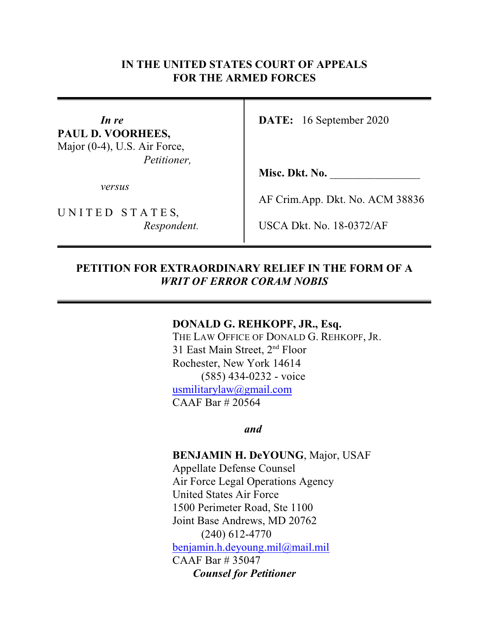### **IN THE UNITED STATES COURT OF APPEALS FOR THE ARMED FORCES**

**PAUL D. VOORHEES,** Major (0-4), U.S. Air Force, *Petitioner,*

*versus*

UNITED STATES,

*In re* **DATE:** 16 September 2020

**Misc. Dkt. No.** \_\_\_\_\_\_\_\_\_\_\_\_\_\_\_\_

AF Crim.App. Dkt. No. ACM 38836

*Respondent.* USCA Dkt. No. 18-0372/AF

#### **PETITION FOR EXTRAORDINARY RELIEF IN THE FORM OF A** *WRIT OF ERROR CORAM NOBIS*

#### **DONALD G. REHKOPF, JR., Esq.**

THE LAW OFFICE OF DONALD G. REHKOPF, JR. 31 East Main Street,  $2<sup>nd</sup>$  Floor Rochester, New York 14614 (585) 434-0232 - voice [usmilitarylaw@gmail.com](mailto:usmilitarylaw@gmail.com) CAAF Bar # 20564

*and*

#### **BENJAMIN H. DeYOUNG**, Major, USAF

Appellate Defense Counsel Air Force Legal Operations Agency United States Air Force 1500 Perimeter Road, Ste 1100 Joint Base Andrews, MD 20762 (240) 612-4770 [benjamin.h.deyoung.mil@mail.mil](mailto:benjamin.h.deyoung.mil@mail.mil) CAAF Bar # 35047 *Counsel for Petitioner*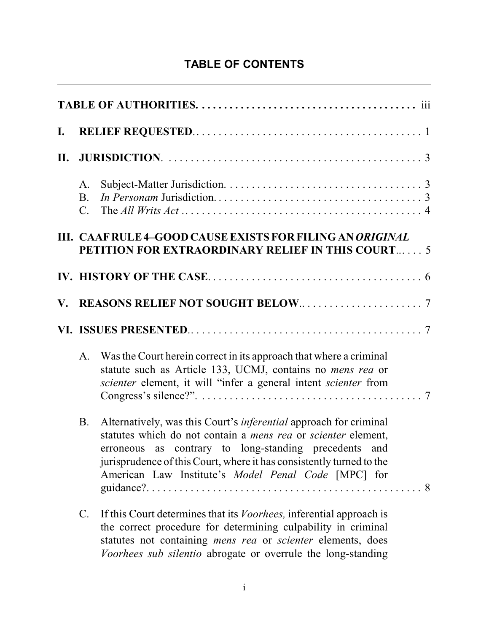# **TABLE OF CONTENTS**

| $\mathbf{I}$ .         |                                    |                                                                                                                                                                                                                                                                                                                                   |  |  |  |  |
|------------------------|------------------------------------|-----------------------------------------------------------------------------------------------------------------------------------------------------------------------------------------------------------------------------------------------------------------------------------------------------------------------------------|--|--|--|--|
| II.                    |                                    |                                                                                                                                                                                                                                                                                                                                   |  |  |  |  |
|                        | A.<br><b>B.</b><br>$\mathcal{C}$ . |                                                                                                                                                                                                                                                                                                                                   |  |  |  |  |
|                        |                                    | III. CAAF RULE 4-GOOD CAUSE EXISTS FOR FILING AN ORIGINAL<br><b>PETITION FOR EXTRAORDINARY RELIEF IN THIS COURT 5</b>                                                                                                                                                                                                             |  |  |  |  |
|                        |                                    |                                                                                                                                                                                                                                                                                                                                   |  |  |  |  |
| $\mathbf{V}_{\bullet}$ |                                    |                                                                                                                                                                                                                                                                                                                                   |  |  |  |  |
|                        |                                    |                                                                                                                                                                                                                                                                                                                                   |  |  |  |  |
|                        | $A_{\cdot}$                        | Was the Court herein correct in its approach that where a criminal<br>statute such as Article 133, UCMJ, contains no <i>mens rea</i> or<br>scienter element, it will "infer a general intent scienter from                                                                                                                        |  |  |  |  |
|                        | <b>B.</b>                          | Alternatively, was this Court's <i>inferential</i> approach for criminal<br>statutes which do not contain a mens rea or scienter element,<br>erroneous as contrary to long-standing precedents and<br>jurisprudence of this Court, where it has consistently turned to the<br>American Law Institute's Model Penal Code [MPC] for |  |  |  |  |
|                        | $\mathcal{C}$ .                    | If this Court determines that its <i>Voorhees</i> , inferential approach is<br>the correct procedure for determining culpability in criminal<br>statutes not containing <i>mens rea</i> or <i>scienter</i> elements, does<br>Voorhees sub silentio abrogate or overrule the long-standing                                         |  |  |  |  |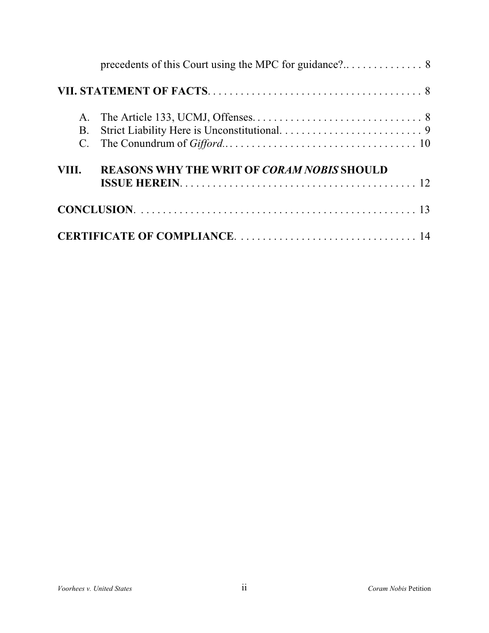| A.<br><b>B.</b> |                                                   |  |
|-----------------|---------------------------------------------------|--|
| VIII.           | <b>REASONS WHY THE WRIT OF CORAM NOBIS SHOULD</b> |  |
|                 |                                                   |  |
|                 |                                                   |  |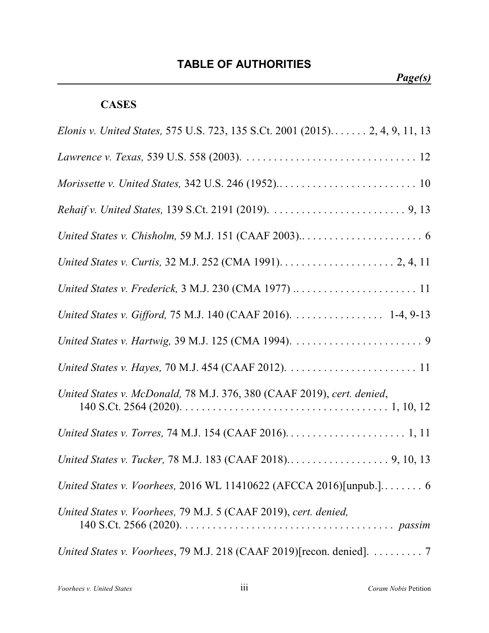# **TABLE OF AUTHORITIES**

# **CASES**

| Elonis v. United States, 575 U.S. 723, 135 S.Ct. 2001 (2015) 2, 4, 9, 11, 13              |
|-------------------------------------------------------------------------------------------|
|                                                                                           |
|                                                                                           |
|                                                                                           |
|                                                                                           |
|                                                                                           |
|                                                                                           |
| United States v. Gifford, 75 M.J. 140 (CAAF 2016). 1-4, 9-13                              |
|                                                                                           |
|                                                                                           |
| United States v. McDonald, 78 M.J. 376, 380 (CAAF 2019), cert. denied,                    |
|                                                                                           |
|                                                                                           |
| United States v. Voorhees, 2016 WL 11410622 (AFCCA 2016)[unpub.] 6                        |
| United States v. Voorhees, 79 M.J. 5 (CAAF 2019), cert. denied,                           |
| United States v. Voorhees, 79 M.J. 218 (CAAF 2019) [recon. denied]. $\dots \dots \dots$ 7 |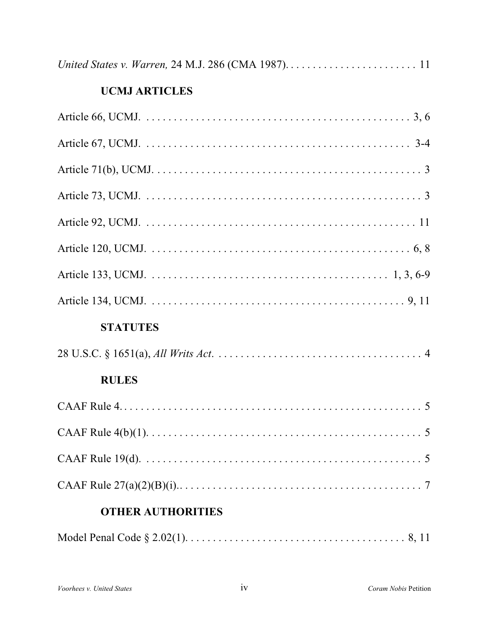# **UCMJ ARTICLES**

| <b>STATUTES</b>                                                                                                                       |
|---------------------------------------------------------------------------------------------------------------------------------------|
|                                                                                                                                       |
| <b>RULES</b>                                                                                                                          |
|                                                                                                                                       |
|                                                                                                                                       |
| CAAF Rule 19(d). $\ldots$ $\ldots$ $\ldots$ $\ldots$ $\ldots$ $\ldots$ $\ldots$ $\ldots$ $\ldots$ $\ldots$ $\ldots$ $\ldots$ $\ldots$ |
|                                                                                                                                       |
| <b>OTHER AUTHORITIES</b>                                                                                                              |
|                                                                                                                                       |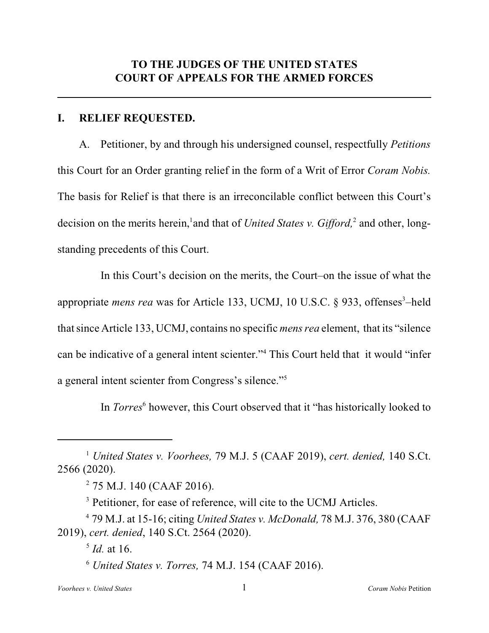#### **I. RELIEF REQUESTED.**

A. Petitioner, by and through his undersigned counsel, respectfully *Petitions* this Court for an Order granting relief in the form of a Writ of Error *Coram Nobis.* The basis for Relief is that there is an irreconcilable conflict between this Court's decision on the merits herein,<sup>1</sup> and that of *United States v. Gifford*,<sup>2</sup> and other, longstanding precedents of this Court.

In this Court's decision on the merits, the Court–on the issue of what the appropriate *mens rea* was for Article 133, UCMJ, 10 U.S.C. § 933, offenses<sup>3</sup>-held thatsince Article 133, UCMJ, contains no specific *mens rea* element, that its "silence can be indicative of a general intent scienter."<sup>4</sup> This Court held that it would "infer a general intent scienter from Congress's silence."<sup>5</sup>

In *Torres*<sup>6</sup> however, this Court observed that it "has historically looked to

*United States v. Voorhees,* 79 M.J. 5 (CAAF 2019), *cert. denied,* 140 S.Ct. <sup>1</sup> 2566 (2020).

 $275$  M.J. 140 (CAAF 2016).

<sup>&</sup>lt;sup>3</sup> Petitioner, for ease of reference, will cite to the UCMJ Articles.

<sup>79</sup> M.J. at 15-16; citing *United States v. McDonald,* 78 M.J. 376, 380 (CAAF <sup>4</sup> 2019), *cert. denied*, 140 S.Ct. 2564 (2020).

 $<sup>5</sup>$  *Id.* at 16.</sup>

 $<sup>6</sup> United States v. Torres, 74 M.J. 154 (CAAF 2016).$ </sup>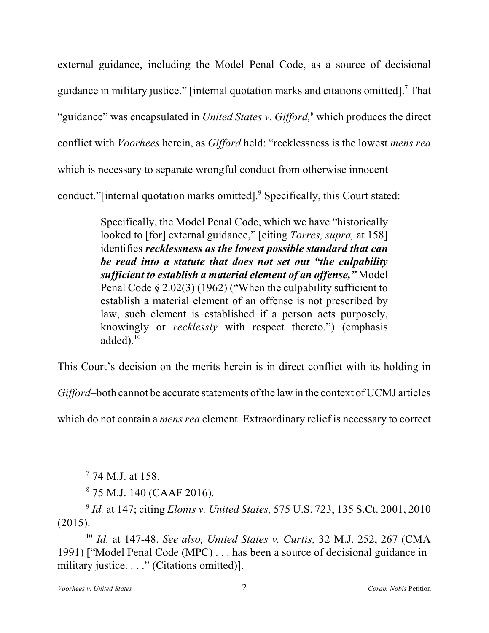external guidance, including the Model Penal Code, as a source of decisional guidance in military justice." [internal quotation marks and citations omitted].<sup>7</sup> That "guidance" was encapsulated in *United States v. Gifford*,<sup>8</sup> which produces the direct conflict with *Voorhees* herein, as *Gifford* held: "recklessness is the lowest *mens rea* which is necessary to separate wrongful conduct from otherwise innocent conduct."[internal quotation marks omitted].<sup>9</sup> Specifically, this Court stated:

> Specifically, the Model Penal Code, which we have "historically looked to [for] external guidance," [citing *Torres, supra,* at 158] identifies *recklessness as the lowest possible standard that can be read into a statute that does not set out "the culpability sufficient to establish a material element of an offense,"* Model Penal Code § 2.02(3) (1962) ("When the culpability sufficient to establish a material element of an offense is not prescribed by law, such element is established if a person acts purposely, knowingly or *recklessly* with respect thereto.") (emphasis added). $^{10}$

This Court's decision on the merits herein is in direct conflict with its holding in

*Gifford*–both cannot be accurate statements of the law in the context of UCMJ articles

which do not contain a *mens rea* element. Extraordinary relief is necessary to correct

 $774$  M.J. at 158.

 $875$  M.J. 140 (CAAF 2016).

<sup>&</sup>lt;sup>9</sup> *Id.* at 147; citing *Elonis v. United States, 575 U.S. 723, 135 S.Ct. 2001, 2010* (2015).

*Id.* at 147-48. *See also, United States v. Curtis,* 32 M.J. 252, 267 (CMA 10 1991) ["Model Penal Code (MPC) . . . has been a source of decisional guidance in military justice. . . ." (Citations omitted)].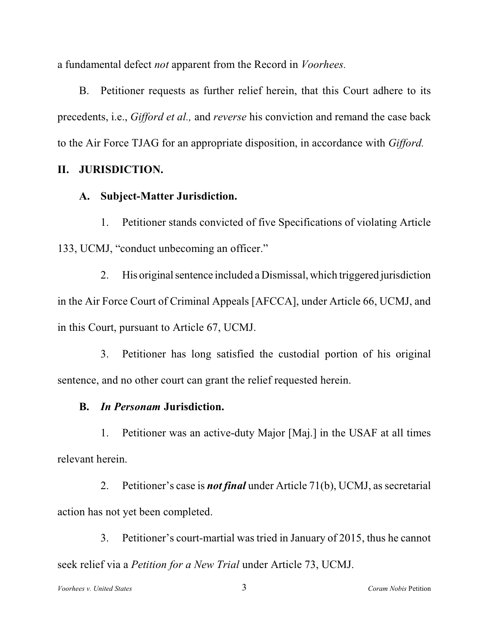a fundamental defect *not* apparent from the Record in *Voorhees.*

B. Petitioner requests as further relief herein, that this Court adhere to its precedents, i.e., *Gifford et al.,* and *reverse* his conviction and remand the case back to the Air Force TJAG for an appropriate disposition, in accordance with *Gifford.*

## **II. JURISDICTION.**

### **A. Subject-Matter Jurisdiction.**

1. Petitioner stands convicted of five Specifications of violating Article 133, UCMJ, "conduct unbecoming an officer."

2. His original sentence included a Dismissal, which triggered jurisdiction in the Air Force Court of Criminal Appeals [AFCCA], under Article 66, UCMJ, and in this Court, pursuant to Article 67, UCMJ.

3. Petitioner has long satisfied the custodial portion of his original sentence, and no other court can grant the relief requested herein.

## **B.** *In Personam* **Jurisdiction.**

1. Petitioner was an active-duty Major [Maj.] in the USAF at all times relevant herein.

2. Petitioner's case is *not final* under Article 71(b), UCMJ, as secretarial action has not yet been completed.

3. Petitioner's court-martial was tried in January of 2015, thus he cannot seek relief via a *Petition for a New Trial* under Article 73, UCMJ.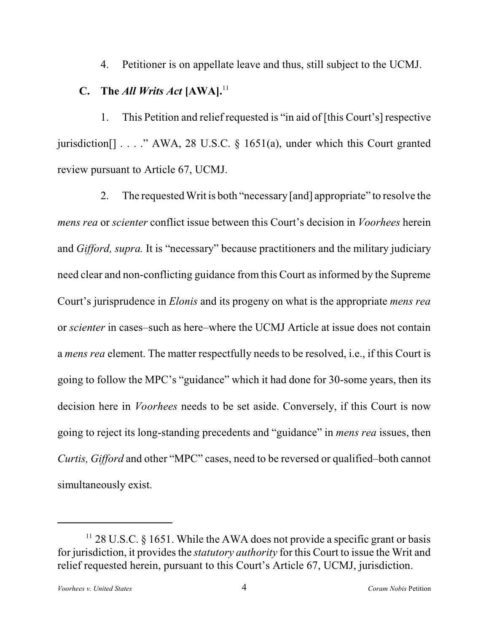4. Petitioner is on appellate leave and thus, still subject to the UCMJ.

# **C.** The *All Writs Act* **[AWA].**<sup>11</sup>

1. This Petition and relief requested is "in aid of [this Court's] respective jurisdiction[] . . . ." AWA, 28 U.S.C. § 1651(a), under which this Court granted review pursuant to Article 67, UCMJ.

2. The requested Writ is both "necessary [and] appropriate" to resolve the *mens rea* or *scienter* conflict issue between this Court's decision in *Voorhees* herein and *Gifford, supra.* It is "necessary" because practitioners and the military judiciary need clear and non-conflicting guidance from this Court as informed by the Supreme Court's jurisprudence in *Elonis* and its progeny on what is the appropriate *mens rea* or *scienter* in cases–such as here–where the UCMJ Article at issue does not contain a *mens rea* element. The matter respectfully needs to be resolved, i.e., if this Court is going to follow the MPC's "guidance" which it had done for 30-some years, then its decision here in *Voorhees* needs to be set aside. Conversely, if this Court is now going to reject its long-standing precedents and "guidance" in *mens rea* issues, then *Curtis, Gifford* and other "MPC" cases, need to be reversed or qualified–both cannot simultaneously exist.

 $11$  28 U.S.C. § 1651. While the AWA does not provide a specific grant or basis for jurisdiction, it provides the *statutory authority* for this Court to issue the Writ and relief requested herein, pursuant to this Court's Article 67, UCMJ, jurisdiction.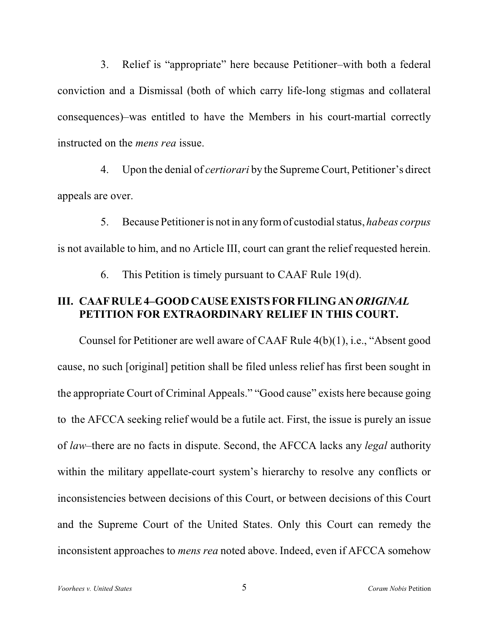3. Relief is "appropriate" here because Petitioner–with both a federal conviction and a Dismissal (both of which carry life-long stigmas and collateral consequences)–was entitled to have the Members in his court-martial correctly instructed on the *mens rea* issue.

4. Upon the denial of *certiorari* by the Supreme Court, Petitioner's direct appeals are over.

5. Because Petitioner is not in any formof custodial status, *habeas corpus* is not available to him, and no Article III, court can grant the relief requested herein.

6. This Petition is timely pursuant to CAAF Rule 19(d).

## **III. CAAFRULE 4–GOOD CAUSE EXISTS FOR FILING AN***ORIGINAL* **PETITION FOR EXTRAORDINARY RELIEF IN THIS COURT.**

Counsel for Petitioner are well aware of CAAF Rule 4(b)(1), i.e., "Absent good cause, no such [original] petition shall be filed unless relief has first been sought in the appropriate Court of Criminal Appeals." "Good cause" exists here because going to the AFCCA seeking relief would be a futile act. First, the issue is purely an issue of *law*–there are no facts in dispute. Second, the AFCCA lacks any *legal* authority within the military appellate-court system's hierarchy to resolve any conflicts or inconsistencies between decisions of this Court, or between decisions of this Court and the Supreme Court of the United States. Only this Court can remedy the inconsistent approaches to *mens rea* noted above. Indeed, even if AFCCA somehow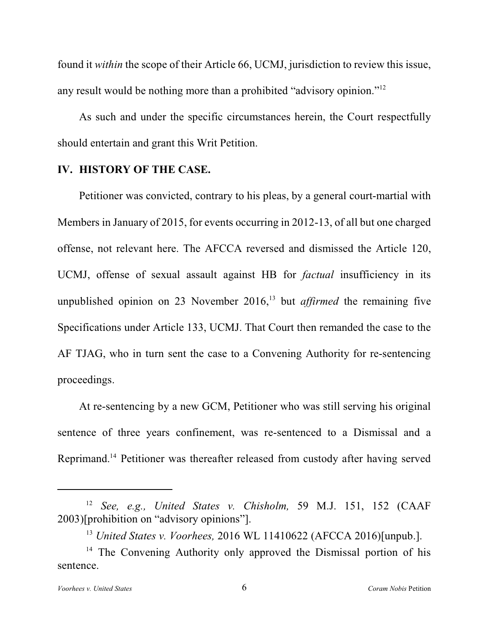found it *within* the scope of their Article 66, UCMJ, jurisdiction to review this issue, any result would be nothing more than a prohibited "advisory opinion."<sup>12</sup>

As such and under the specific circumstances herein, the Court respectfully should entertain and grant this Writ Petition.

#### **IV. HISTORY OF THE CASE.**

Petitioner was convicted, contrary to his pleas, by a general court-martial with Members in January of 2015, for events occurring in 2012-13, of all but one charged offense, not relevant here. The AFCCA reversed and dismissed the Article 120, UCMJ, offense of sexual assault against HB for *factual* insufficiency in its unpublished opinion on 23 November 2016,<sup>13</sup> but *affirmed* the remaining five Specifications under Article 133, UCMJ. That Court then remanded the case to the AF TJAG, who in turn sent the case to a Convening Authority for re-sentencing proceedings.

At re-sentencing by a new GCM, Petitioner who was still serving his original sentence of three years confinement, was re-sentenced to a Dismissal and a Reprimand.<sup>14</sup> Petitioner was thereafter released from custody after having served

<sup>&</sup>lt;sup>12</sup> See, e.g., United States *v.* Chisholm, 59 M.J. 151, 152 (CAAF 2003)[prohibition on "advisory opinions"].

*United States v. Voorhees,* 2016 WL 11410622 (AFCCA 2016)[unpub.]. 13

<sup>&</sup>lt;sup>14</sup> The Convening Authority only approved the Dismissal portion of his sentence.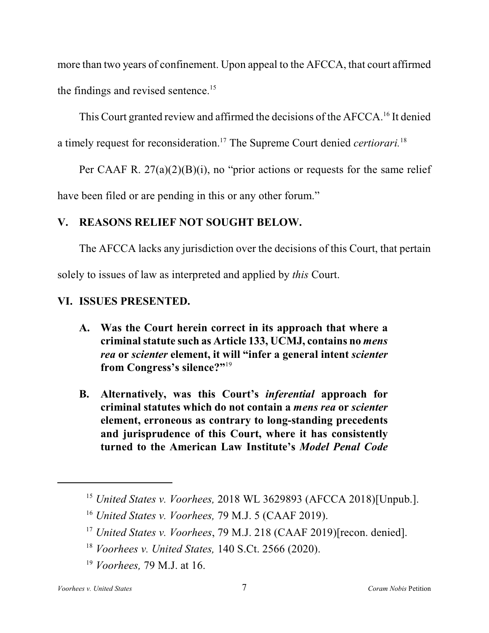more than two years of confinement. Upon appeal to the AFCCA, that court affirmed the findings and revised sentence.<sup>15</sup>

This Court granted review and affirmed the decisions of the AFCCA.<sup>16</sup> It denied a timely request for reconsideration.<sup>17</sup> The Supreme Court denied *certiorari*.<sup>18</sup>

Per CAAF R.  $27(a)(2)(B)(i)$ , no "prior actions or requests for the same relief have been filed or are pending in this or any other forum."

# **V. REASONS RELIEF NOT SOUGHT BELOW.**

The AFCCA lacks any jurisdiction over the decisions of this Court, that pertain

solely to issues of law as interpreted and applied by *this* Court.

# **VI. ISSUES PRESENTED.**

- **A. Was the Court herein correct in its approach that where a criminalstatute such as Article 133, UCMJ, contains no** *mens rea* **or** *scienter* **element, it will "infer a general intent** *scienter* **from Congress's silence?"**<sup>19</sup>
- **B. Alternatively, was this Court's** *inferential* **approach for criminal statutes which do not contain a** *mens rea* **or** *scienter* **element, erroneous as contrary to long-standing precedents and jurisprudence of this Court, where it has consistently turned to the American Law Institute's** *Model Penal Code*

<sup>&</sup>lt;sup>15</sup> United States v. Voorhees, 2018 WL 3629893 (AFCCA 2018)[Unpub.].

<sup>&</sup>lt;sup>16</sup> United States v. Voorhees, 79 M.J. 5 (CAAF 2019).

<sup>&</sup>lt;sup>17</sup> United States v. Voorhees, 79 M.J. 218 (CAAF 2019)[recon. denied].

*Voorhees v. United States,* 140 S.Ct. 2566 (2020). 18

<sup>&</sup>lt;sup>19</sup> Voorhees, 79 M.J. at 16.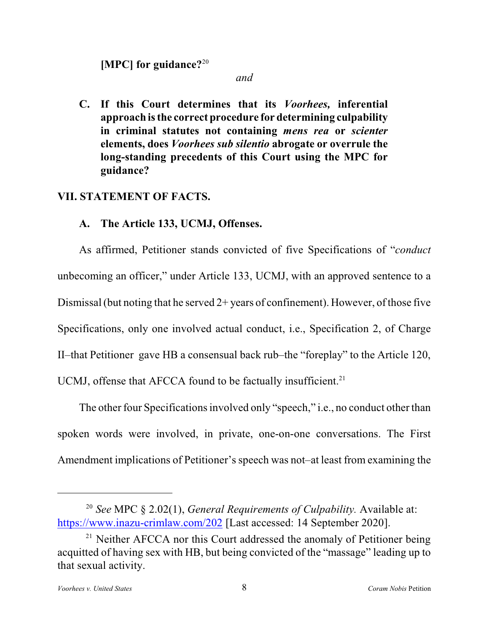**[MPC] for guidance?**<sup>20</sup>

*and*

**C. If this Court determines that its** *Voorhees,* **inferential approach isthe correct procedure for determining culpability in criminal statutes not containing** *mens rea* **or** *scienter* **elements, does** *Voorhees sub silentio* **abrogate or overrule the long-standing precedents of this Court using the MPC for guidance?**

### **VII. STATEMENT OF FACTS.**

#### **A. The Article 133, UCMJ, Offenses.**

As affirmed, Petitioner stands convicted of five Specifications of "*conduct* unbecoming an officer," under Article 133, UCMJ, with an approved sentence to a Dismissal (but noting that he served  $2+$  years of confinement). However, of those five Specifications, only one involved actual conduct, i.e., Specification 2, of Charge II–that Petitioner gave HB a consensual back rub–the "foreplay" to the Article 120, UCMJ, offense that AFCCA found to be factually insufficient.<sup>21</sup>

The other four Specifications involved only "speech," i.e., no conduct other than spoken words were involved, in private, one-on-one conversations. The First Amendment implications of Petitioner's speech was not–at least from examining the

*See* MPC § 2.02(1), *General Requirements of Culpability.* Available at: 20 <https://www.inazu-crimlaw.com/202> [Last accessed: 14 September 2020].

<sup>&</sup>lt;sup>21</sup> Neither AFCCA nor this Court addressed the anomaly of Petitioner being acquitted of having sex with HB, but being convicted of the "massage" leading up to that sexual activity.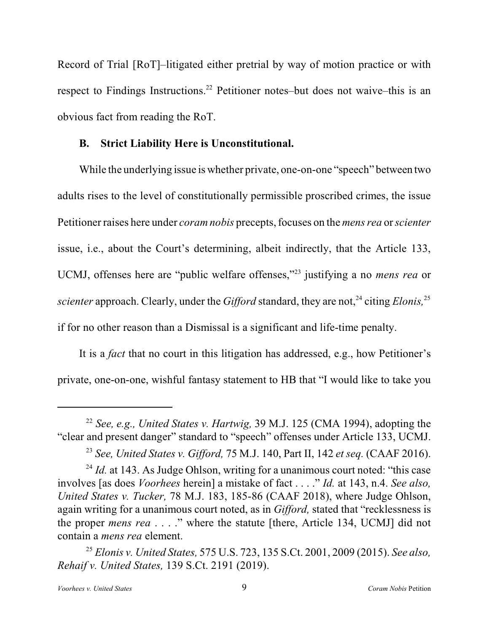Record of Trial [RoT]–litigated either pretrial by way of motion practice or with respect to Findings Instructions.<sup>22</sup> Petitioner notes–but does not waive–this is an obvious fact from reading the RoT.

#### **B. Strict Liability Here is Unconstitutional.**

While the underlying issue is whether private, one-on-one "speech" between two adults rises to the level of constitutionally permissible proscribed crimes, the issue Petitioner raises here under *coram nobis* precepts, focuses on the *mens rea* or*scienter* issue, i.e., about the Court's determining, albeit indirectly, that the Article 133, UCMJ, offenses here are "public welfare offenses,"<sup>23</sup> justifying a no *mens rea* or *scienter* approach. Clearly, under the *Gifford* standard, they are not,<sup>24</sup> citing *Elonis*<sup>25</sup> if for no other reason than a Dismissal is a significant and life-time penalty.

It is a *fact* that no court in this litigation has addressed, e.g., how Petitioner's private, one-on-one, wishful fantasy statement to HB that "I would like to take you

*See, e.g., United States v. Hartwig,* 39 M.J. 125 (CMA 1994), adopting the 22 "clear and present danger" standard to "speech" offenses under Article 133, UCMJ.

*See, United States v. Gifford,* 75 M.J. 140, Part II, 142 *et seq.* (CAAF 2016). <sup>23</sup>

<sup>&</sup>lt;sup>24</sup> *Id.* at 143. As Judge Ohlson, writing for a unanimous court noted: "this case involves [as does *Voorhees* herein] a mistake of fact . . . ." *Id.* at 143, n.4. *See also, United States v. Tucker,* 78 M.J. 183, 185-86 (CAAF 2018), where Judge Ohlson, again writing for a unanimous court noted, as in *Gifford,* stated that "recklessness is the proper *mens rea* . . . ." where the statute [there, Article 134, UCMJ] did not contain a *mens rea* element.

*Elonis v. United States,* 575 U.S. 723, 135 S.Ct. 2001, 2009 (2015). *See also,* 25 *Rehaif v. United States,* 139 S.Ct. 2191 (2019).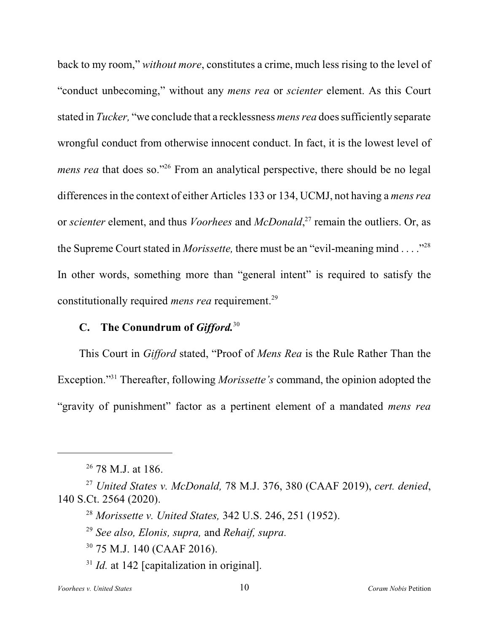back to my room," *without more*, constitutes a crime, much less rising to the level of "conduct unbecoming," without any *mens rea* or *scienter* element. As this Court stated in *Tucker,* "we conclude that a recklessness *mens rea* doessufficiently separate wrongful conduct from otherwise innocent conduct. In fact, it is the lowest level of *mens rea* that does so."<sup>26</sup> From an analytical perspective, there should be no legal differencesin the context of either Articles 133 or 134, UCMJ, not having a *mens rea* or *scienter* element, and thus *Voorhees* and *McDonald*<sup>27</sup>, remain the outliers. Or, as the Supreme Court stated in *Morissette,* there must be an "evil-meaning mind . . . ."<sup>28</sup> In other words, something more than "general intent" is required to satisfy the constitutionally required *mens rea* requirement.<sup>29</sup>

# **C. The Conundrum of** *Gifford.*<sup>30</sup>

This Court in *Gifford* stated, "Proof of *Mens Rea* is the Rule Rather Than the Exception."<sup>31</sup> Thereafter, following *Morissette's* command, the opinion adopted the "gravity of punishment" factor as a pertinent element of a mandated *mens rea*

 $26$  78 M.J. at 186.

*United States v. McDonald,* 78 M.J. 376, 380 (CAAF 2019), *cert. denied*, 27 140 S.Ct. 2564 (2020).

*Morissette v. United States,* 342 U.S. 246, 251 (1952). 28

*See also, Elonis, supra,* and *Rehaif, supra.* 29

 $30$  75 M.J. 140 (CAAF 2016).

 $I/d$ . at 142 [capitalization in original].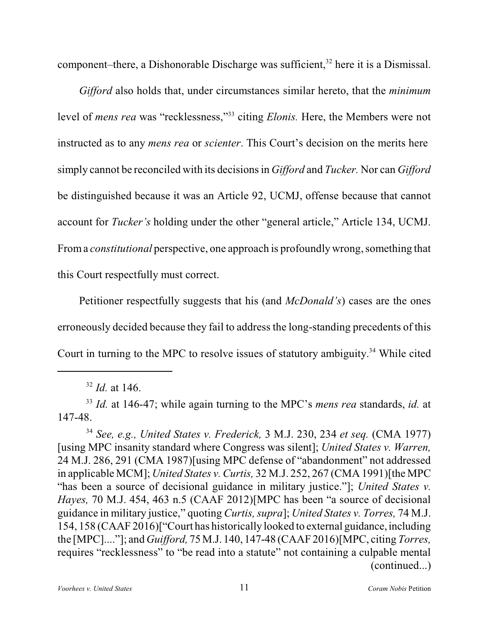component–there, a Dishonorable Discharge was sufficient, $32$  here it is a Dismissal.

*Gifford* also holds that, under circumstances similar hereto, that the *minimum* level of *mens rea* was "recklessness,"<sup>33</sup> citing *Elonis*. Here, the Members were not instructed as to any *mens rea* or *scienter*. This Court's decision on the merits here simply cannot be reconciled with its decisions in *Gifford* and *Tucker.* Nor can *Gifford* be distinguished because it was an Article 92, UCMJ, offense because that cannot account for *Tucker's* holding under the other "general article," Article 134, UCMJ. Froma *constitutional* perspective, one approach is profoundly wrong, something that this Court respectfully must correct.

Petitioner respectfully suggests that his (and *McDonald's*) cases are the ones erroneously decided because they fail to address the long-standing precedents of this Court in turning to the MPC to resolve issues of statutory ambiguity.<sup>34</sup> While cited

 $^{32}$  *Id.* at 146.

<sup>&</sup>lt;sup>33</sup> Id. at 146-47; while again turning to the MPC's *mens rea* standards, *id.* at 147-48.

*See, e.g., United States v. Frederick,* 3 M.J. 230, 234 *et seq.* (CMA 1977) <sup>34</sup> [using MPC insanity standard where Congress was silent]; *United States v. Warren,* 24 M.J. 286, 291 (CMA 1987)[using MPC defense of "abandonment" not addressed in applicable MCM]; *United States v. Curtis,* 32 M.J. 252, 267 (CMA 1991)[the MPC "has been a source of decisional guidance in military justice."]; *United States v. Hayes,* 70 M.J. 454, 463 n.5 (CAAF 2012)[MPC has been "a source of decisional guidance in military justice," quoting *Curtis, supra*]; *United States v. Torres,* 74 M.J. 154, 158 (CAAF 2016)["Court has historically looked to external guidance,including the [MPC]...."]; and *Guifford,* 75 M.J. 140, 147-48 (CAAF 2016)[MPC, citing *Torres,* requires "recklessness" to "be read into a statute" not containing a culpable mental (continued...)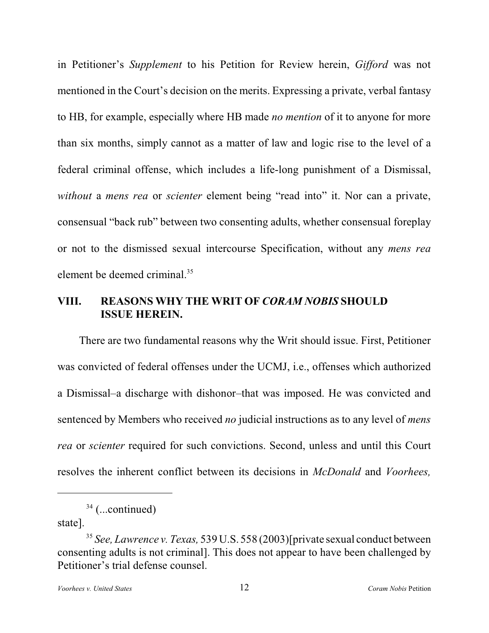in Petitioner's *Supplement* to his Petition for Review herein, *Gifford* was not mentioned in the Court's decision on the merits. Expressing a private, verbal fantasy to HB, for example, especially where HB made *no mention* of it to anyone for more than six months, simply cannot as a matter of law and logic rise to the level of a federal criminal offense, which includes a life-long punishment of a Dismissal, *without* a *mens rea* or *scienter* element being "read into" it. Nor can a private, consensual "back rub" between two consenting adults, whether consensual foreplay or not to the dismissed sexual intercourse Specification, without any *mens rea* element be deemed criminal.<sup>35</sup>

# **VIII. REASONS WHY THE WRIT OF** *CORAM NOBIS* **SHOULD ISSUE HEREIN.**

There are two fundamental reasons why the Writ should issue. First, Petitioner was convicted of federal offenses under the UCMJ, i.e., offenses which authorized a Dismissal–a discharge with dishonor–that was imposed. He was convicted and sentenced by Members who received *no* judicial instructions as to any level of *mens rea* or *scienter* required for such convictions. Second, unless and until this Court resolves the inherent conflict between its decisions in *McDonald* and *Voorhees,*

state].

 $34$  (...continued)

*See, Lawrence v. Texas,* 539 U.S. 558 (2003)[private sexual conduct between 35 consenting adults is not criminal]. This does not appear to have been challenged by Petitioner's trial defense counsel.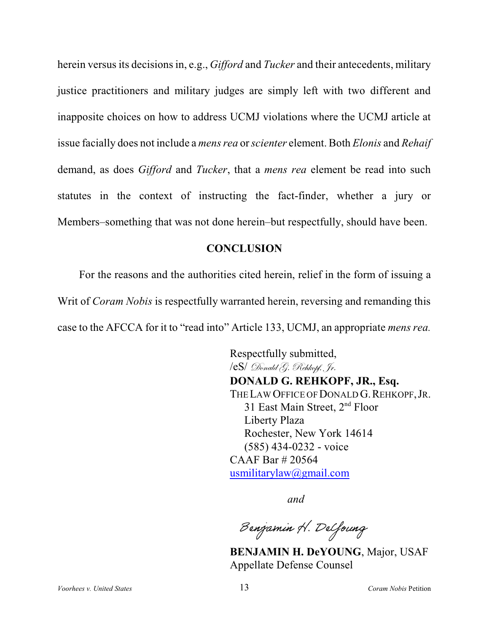herein versus its decisions in, e.g., *Gifford* and *Tucker* and their antecedents, military justice practitioners and military judges are simply left with two different and inapposite choices on how to address UCMJ violations where the UCMJ article at issue facially does not include a *mens rea* or *scienter* element. Both *Elonis* and *Rehaif* demand, as does *Gifford* and *Tucker*, that a *mens rea* element be read into such statutes in the context of instructing the fact-finder, whether a jury or Members–something that was not done herein–but respectfully, should have been.

#### **CONCLUSION**

For the reasons and the authorities cited herein, relief in the form of issuing a Writ of *Coram Nobis* is respectfully warranted herein, reversing and remanding this case to the AFCCA for it to "read into" Article 133, UCMJ, an appropriate *mens rea.*

> Respectfully submitted, /eS/ Donald G. Rehkopf, Jr. **DONALD G. REHKOPF, JR., Esq.** THE LAW OFFICE OF DONALD G. REHKOPF, JR. 31 East Main Street, 2<sup>nd</sup> Floor Liberty Plaza Rochester, New York 14614 (585) 434-0232 - voice CAAF Bar # 20564 [usmilitarylaw@gmail.com](mailto:usmilitarylaw@gmail.com)

> > *and*

Benjamin H. Delfoung

**BENJAMIN H. DeYOUNG**, Major, USAF Appellate Defense Counsel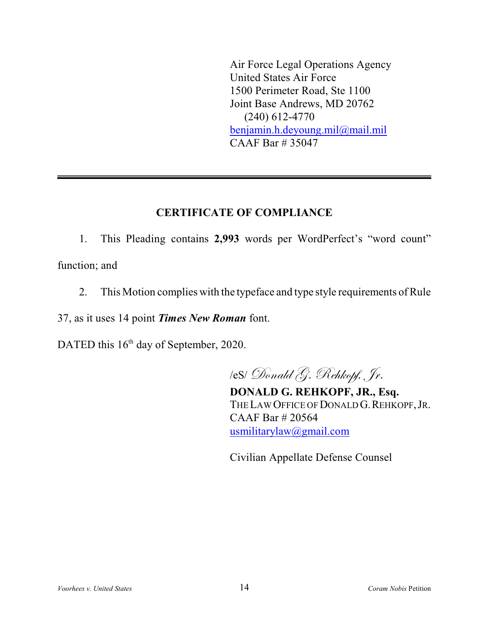Air Force Legal Operations Agency United States Air Force 1500 Perimeter Road, Ste 1100 Joint Base Andrews, MD 20762 (240) 612-4770 [benjamin.h.deyoung.mil@mail.mil](mailto:benjamin.h.deyoung.mil@mail.mil) CAAF Bar # 35047

# **CERTIFICATE OF COMPLIANCE**

1. This Pleading contains **2,993** words per WordPerfect's "word count" function; and

2. This Motion complies with the typeface and type style requirements of Rule

37, as it uses 14 point *Times New Roman* font.

DATED this  $16<sup>th</sup>$  day of September, 2020.

/eS/ Donald G. Rehkopf, Jr.

**DONALD G. REHKOPF, JR., Esq.** THE LAW OFFICE OF DONALD G. REHKOPF, JR. CAAF Bar # 20564 [usmilitarylaw@gmail.com](mailto:usmilitarylaw@gmail.com)

Civilian Appellate Defense Counsel